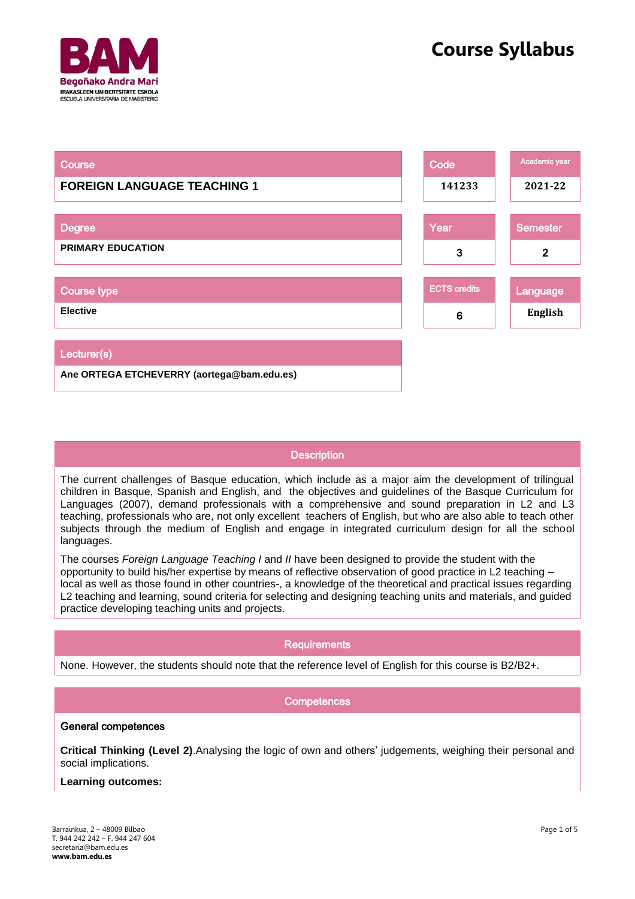

| <b>Course</b>                              | Code                | Academic year   |
|--------------------------------------------|---------------------|-----------------|
| <b>FOREIGN LANGUAGE TEACHING 1</b>         | 141233              | 2021-22         |
|                                            |                     |                 |
| <b>Degree</b>                              | Year                | <b>Semester</b> |
| <b>PRIMARY EDUCATION</b>                   | 3                   | $\mathbf{2}$    |
|                                            |                     |                 |
| <b>Course type</b>                         | <b>ECTS credits</b> | Language        |
| <b>Elective</b>                            | 6                   | English         |
|                                            |                     |                 |
| Lecturer(s)                                |                     |                 |
| Ane ORTEGA ETCHEVERRY (aortega@bam.edu.es) |                     |                 |

# **Description**

The current challenges of Basque education, which include as a major aim the development of trilingual children in Basque, Spanish and English, and the objectives and guidelines of the Basque Curriculum for Languages (2007), demand professionals with a comprehensive and sound preparation in L2 and L3 teaching, professionals who are, not only excellent teachers of English, but who are also able to teach other subjects through the medium of English and engage in integrated curriculum design for all the school languages.

The courses *Foreign Language Teaching I* and *II* have been designed to provide the student with the opportunity to build his/her expertise by means of reflective observation of good practice in L2 teaching – local as well as those found in other countries-, a knowledge of the theoretical and practical issues regarding L2 teaching and learning, sound criteria for selecting and designing teaching units and materials, and guided practice developing teaching units and projects.

## **Requirements**

None. However, the students should note that the reference level of English for this course is B2/B2+.

## **Competences**

### General competences

**Critical Thinking (Level 2)**.Analysing the logic of own and others' judgements, weighing their personal and social implications.

#### **Learning outcomes:**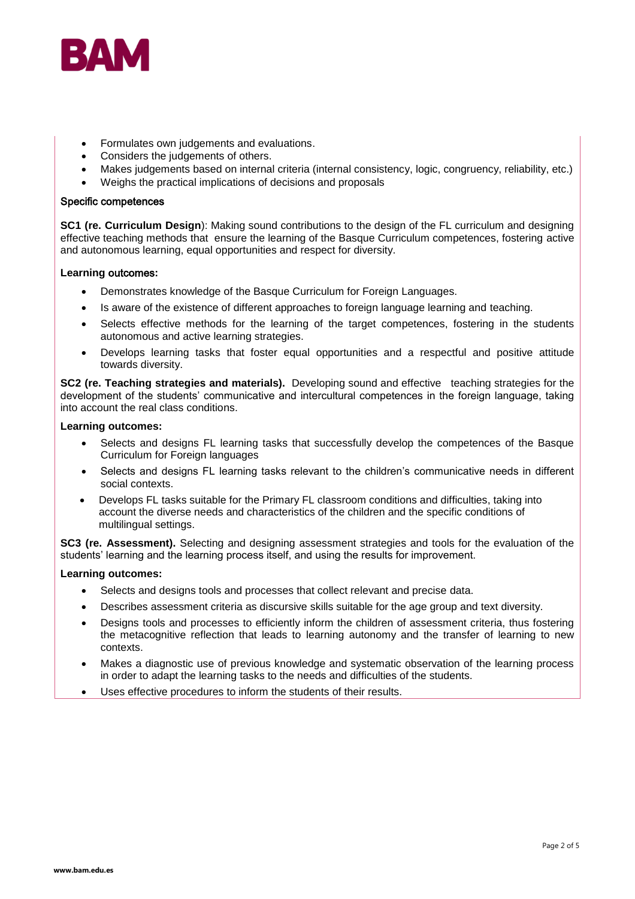

- Formulates own judgements and evaluations.
- Considers the judgements of others.
- Makes judgements based on internal criteria (internal consistency, logic, congruency, reliability, etc.)
- Weighs the practical implications of decisions and proposals

#### Specific competences

**SC1 (re. Curriculum Design**): Making sound contributions to the design of the FL curriculum and designing effective teaching methods that ensure the learning of the Basque Curriculum competences, fostering active and autonomous learning, equal opportunities and respect for diversity.

#### **Learning** outcomes**:**

- Demonstrates knowledge of the Basque Curriculum for Foreign Languages.
- Is aware of the existence of different approaches to foreign language learning and teaching.
- Selects effective methods for the learning of the target competences, fostering in the students autonomous and active learning strategies.
- Develops learning tasks that foster equal opportunities and a respectful and positive attitude towards diversity.

**SC2 (re. Teaching strategies and materials).** Developing sound and effective teaching strategies for the development of the students' communicative and intercultural competences in the foreign language, taking into account the real class conditions.

#### **Learning outcomes:**

- Selects and designs FL learning tasks that successfully develop the competences of the Basque Curriculum for Foreign languages
- Selects and designs FL learning tasks relevant to the children's communicative needs in different social contexts.
- Develops FL tasks suitable for the Primary FL classroom conditions and difficulties, taking into account the diverse needs and characteristics of the children and the specific conditions of multilingual settings.

**SC3 (re. Assessment).** Selecting and designing assessment strategies and tools for the evaluation of the students' learning and the learning process itself, and using the results for improvement.

#### **Learning outcomes:**

- Selects and designs tools and processes that collect relevant and precise data.
- Describes assessment criteria as discursive skills suitable for the age group and text diversity.
- Designs tools and processes to efficiently inform the children of assessment criteria, thus fostering the metacognitive reflection that leads to learning autonomy and the transfer of learning to new contexts.
- Makes a diagnostic use of previous knowledge and systematic observation of the learning process in order to adapt the learning tasks to the needs and difficulties of the students.
- Uses effective procedures to inform the students of their results.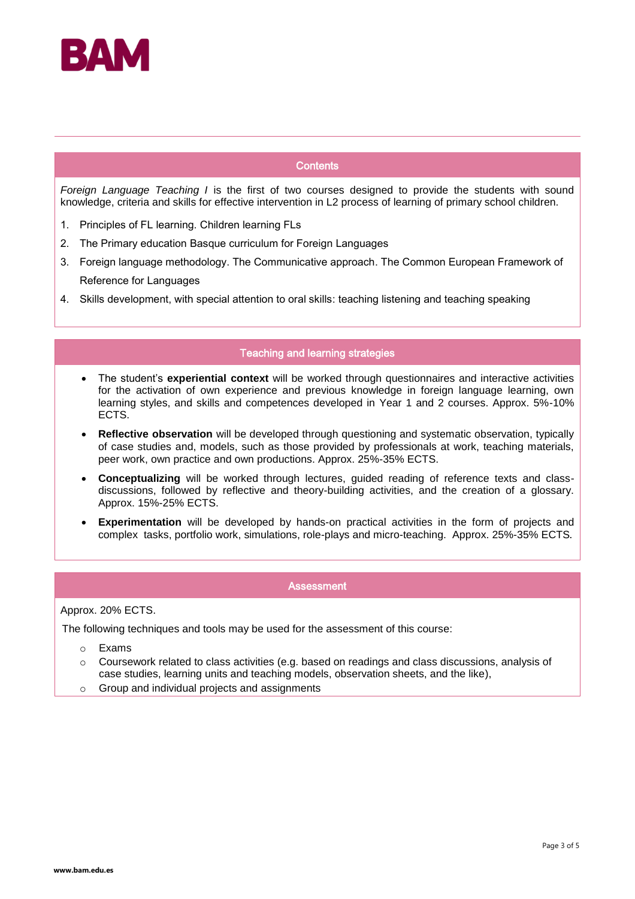

### **Contents**

*Foreign Language Teaching I* is the first of two courses designed to provide the students with sound knowledge, criteria and skills for effective intervention in L2 process of learning of primary school children.

- 1. Principles of FL learning. Children learning FLs
- 2. The Primary education Basque curriculum for Foreign Languages
- 3. Foreign language methodology. The Communicative approach. The Common European Framework of Reference for Languages
- 4. Skills development, with special attention to oral skills: teaching listening and teaching speaking

### Teaching and learning strategies

- The student's **experiential context** will be worked through questionnaires and interactive activities for the activation of own experience and previous knowledge in foreign language learning, own learning styles, and skills and competences developed in Year 1 and 2 courses. Approx. 5%-10% ECTS.
- **Reflective observation** will be developed through questioning and systematic observation, typically of case studies and, models, such as those provided by professionals at work, teaching materials, peer work, own practice and own productions. Approx. 25%-35% ECTS.
- **Conceptualizing** will be worked through lectures, guided reading of reference texts and classdiscussions, followed by reflective and theory-building activities, and the creation of a glossary. Approx. 15%-25% ECTS.
- **Experimentation** will be developed by hands-on practical activities in the form of projects and complex tasks, portfolio work, simulations, role-plays and micro-teaching. Approx. 25%-35% ECTS.

### **Assessment**

Approx. 20% ECTS.

The following techniques and tools may be used for the assessment of this course:

- o Exams
- $\circ$  Coursework related to class activities (e.g. based on readings and class discussions, analysis of case studies, learning units and teaching models, observation sheets, and the like),
- o Group and individual projects and assignments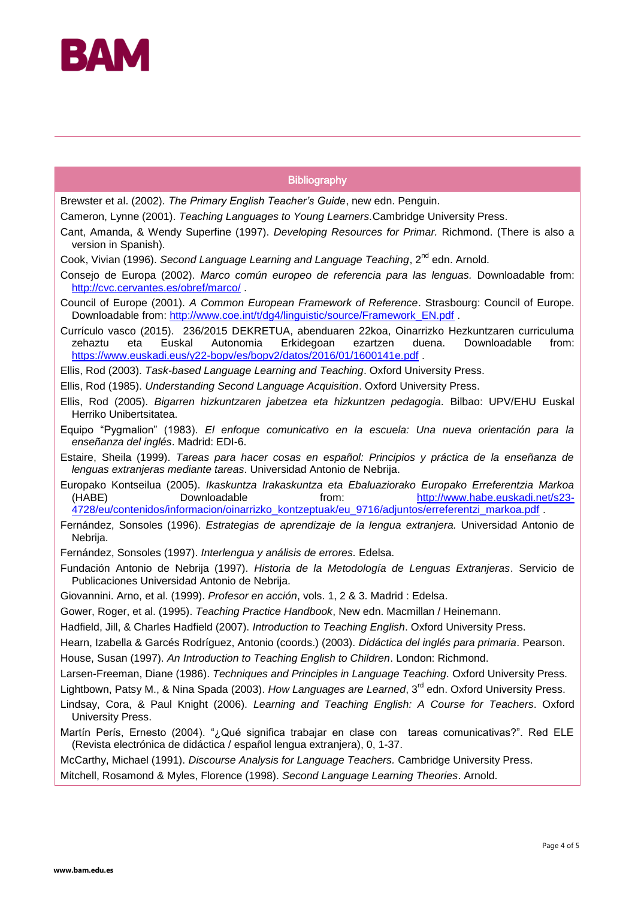

# **Bibliography**

Brewster et al. (2002). *The Primary English Teacher's Guide*, new edn. Penguin.

- Cameron, Lynne (2001). *Teaching Languages to Young Learners.*Cambridge University Press.
- Cant, Amanda, & Wendy Superfine (1997). *Developing Resources for Primar.* Richmond. (There is also a version in Spanish).
- Cook, Vivian (1996). *Second Language Learning and Language Teaching*, 2<sup>nd</sup> edn. Arnold.
- Consejo de Europa (2002). *Marco común europeo de referencia para las lenguas.* Downloadable from: <http://cvc.cervantes.es/obref/marco/> .
- Council of Europe (2001). *A Common European Framework of Reference*. Strasbourg: Council of Europe. Downloadable from: [http://www.coe.int/t/dg4/linguistic/source/Framework\\_EN.pdf](http://www.coe.int/t/dg4/linguistic/source/Framework_EN.pdf).
- Currículo vasco (2015). 236/2015 DEKRETUA, abenduaren 22koa, Oinarrizko Hezkuntzaren curriculuma<br>zehaztu eta Euskal Autonomia Erkidegoan ezartzen duena. Downloadable from: Downloadable <https://www.euskadi.eus/y22-bopv/es/bopv2/datos/2016/01/1600141e.pdf>.
- Ellis, Rod (2003). *Task-based Language Learning and Teaching*. Oxford University Press.
- Ellis, Rod (1985). *Understanding Second Language Acquisition*. Oxford University Press.
- Ellis, Rod (2005). *Bigarren hizkuntzaren jabetzea eta hizkuntzen pedagogia.* Bilbao: UPV/EHU Euskal Herriko Unibertsitatea.
- Equipo "Pygmalion" (1983). *El enfoque comunicativo en la escuela: Una nueva orientación para la enseñanza del inglés*. Madrid: EDI-6.
- Estaire, Sheila (1999). *Tareas para hacer cosas en español: Principios y práctica de la enseñanza de lenguas extranjeras mediante tareas*. Universidad Antonio de Nebrija.
- Europako Kontseilua (2005). *Ikaskuntza Irakaskuntza eta Ebaluaziorako Europako Erreferentzia Markoa* (HABE) Downloadable from: [http://www.habe.euskadi.net/s23-](http://www.habe.euskadi.net/s23-4728/eu/contenidos/informacion/oinarrizko_kontzeptuak/eu_9716/adjuntos/erreferentzi_markoa.pdf) [4728/eu/contenidos/informacion/oinarrizko\\_kontzeptuak/eu\\_9716/adjuntos/erreferentzi\\_markoa.pdf](http://www.habe.euskadi.net/s23-4728/eu/contenidos/informacion/oinarrizko_kontzeptuak/eu_9716/adjuntos/erreferentzi_markoa.pdf) .
- Fernández, Sonsoles (1996). *Estrategias de aprendizaje de la lengua extranjera.* Universidad Antonio de Nebrija.
- Fernández, Sonsoles (1997). *Interlengua y análisis de errores.* Edelsa.
- Fundación Antonio de Nebrija (1997). *Historia de la Metodología de Lenguas Extranjeras*. Servicio de Publicaciones Universidad Antonio de Nebrija.
- Giovannini. Arno, et al. (1999). *Profesor en acción*, vols. 1, 2 & 3. Madrid : Edelsa.
- Gower, Roger, et al. (1995). *Teaching Practice Handbook*, New edn. Macmillan / Heinemann.
- Hadfield, Jill, & Charles Hadfield (2007). *Introduction to Teaching English*. Oxford University Press.
- Hearn, Izabella & Garcés Rodríguez, Antonio (coords.) (2003). *Didáctica del inglés para primaria*. Pearson.
- House, Susan (1997). *An Introduction to Teaching English to Children*. London: Richmond.
- Larsen-Freeman, Diane (1986). *Techniques and Principles in Language Teaching.* Oxford University Press.
- Lightbown, Patsy M., & Nina Spada (2003). *How Languages are Learned*, 3<sup>rd</sup> edn. Oxford University Press.
- Lindsay, Cora, & Paul Knight (2006). *Learning and Teaching English: A Course for Teachers*. Oxford University Press.
- Martín Perís, Ernesto (2004). "¿Qué significa trabajar en clase con tareas comunicativas?". Red ELE (Revista electrónica de didáctica / español lengua extranjera), 0, 1-37.

McCarthy, Michael (1991). *Discourse Analysis for Language Teachers.* Cambridge University Press.

Mitchell, Rosamond & Myles, Florence (1998). *Second Language Learning Theories*. Arnold.